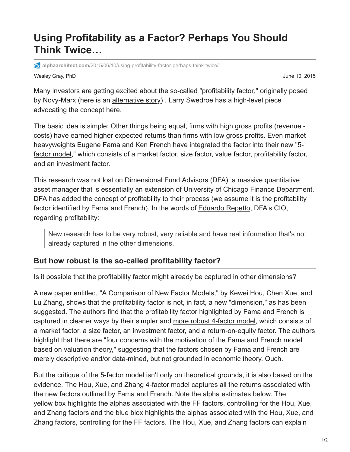## **Using Profitability as a Factor? Perhaps You Should Think Twice…**

**alphaarchitect.com**[/2015/06/10/using-profitability-factor-perhaps-think-twice/](https://alphaarchitect.com/2015/06/10/using-profitability-factor-perhaps-think-twice/)

Wesley Gray, PhD June 10, 2015

Many investors are getting excited about the so-called ["profitability factor](http://rnm.simon.rochester.edu/research/OSoV.pdf)," originally posed by Novy-Marx (here is an [alternative story](https://alphaarchitect.com/2014/06/17/gross-profits-isnt-a-silver-bullet-for-valuation-measurement/)). Larry Swedroe has a high-level piece advocating the concept [here.](http://www.etf.com/sections/index-investor-corner/swedroe-exploring-profitability-factor)

The basic idea is simple: Other things being equal, firms with high gross profits (revenue costs) have earned higher expected returns than firms with low gross profits. Even market heavyweights Eugene Fama and Ken French have integrated the factor into their new "5 [factor model," which consists of a market factor, size factor, value factor, profitability factor](https://papers.ssrn.com/sol3/papers.cfm?abstract_id=2287202), and an investment factor.

This research was not lost on [Dimensional Fund Advisors](http://us.dimensional.com/philosophy/dimensions.aspx) (DFA), a massive quantitative asset manager that is essentially an extension of University of Chicago Finance Department. DFA has added the concept of profitability to their process (we assume it is the profitability factor identified by Fama and French). In the words of [Eduardo Repetto,](http://www.investmentnews.com/article/20130807/FREE/130809943/sweeping-changes-under-way-at-dfa) DFA's CIO, regarding profitability:

New research has to be very robust, very reliable and have real information that's not already captured in the other dimensions.

## **But how robust is the so-called profitability factor?**

Is it possible that the profitability factor might already be captured in other dimensions?

A [new paper](https://papers.ssrn.com/sol3/papers.cfm?abstract_id=2520929) entitled, "A Comparison of New Factor Models," by Kewei Hou, Chen Xue, and Lu Zhang, shows that the profitability factor is not, in fact, a new "dimension," as has been suggested. The authors find that the profitability factor highlighted by Fama and French is captured in cleaner ways by their simpler and [more robust 4-factor model](https://papers.ssrn.com/sol3/papers.cfm?abstract_id=2508322), which consists of a market factor, a size factor, an investment factor, and a return-on-equity factor. The authors highlight that there are "four concerns with the motivation of the Fama and French model based on valuation theory," suggesting that the factors chosen by Fama and French are merely descriptive and/or data-mined, but not grounded in economic theory. Ouch.

But the critique of the 5-factor model isn't only on theoretical grounds, it is also based on the evidence. The Hou, Xue, and Zhang 4-factor model captures all the returns associated with the new factors outlined by Fama and French. Note the alpha estimates below. The yellow box highlights the alphas associated with the FF factors, controlling for the Hou, Xue, and Zhang factors and the blue blox highlights the alphas associated with the Hou, Xue, and Zhang factors, controlling for the FF factors. The Hou, Xue, and Zhang factors can explain